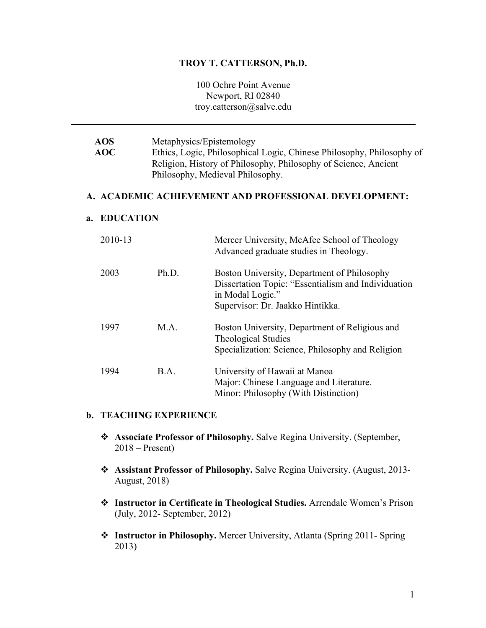#### **TROY T. CATTERSON, Ph.D.**

100 Ochre Point Avenue Newport, RI 02840 troy.catterson@salve.edu

**AOS AOC** Metaphysics/Epistemology Ethics, Logic, Philosophical Logic, Chinese Philosophy, Philosophy of Religion, History of Philosophy, Philosophy of Science, Ancient Philosophy, Medieval Philosophy. **A. ACADEMIC ACHIEVEMENT AND PROFESSIONAL DEVELOPMENT: a. EDUCATION** 2010-13 Mercer University, McAfee School of Theology Advanced graduate studies in Theology. 2003 Ph.D. Boston University, Department of Philosophy Dissertation Topic: "Essentialism and Individuation in Modal Logic." Supervisor: Dr. Jaakko Hintikka. 1997 M.A. Boston University, Department of Religious and Theological Studies Specialization: Science, Philosophy and Religion 1994 B.A. University of Hawaii at Manoa Major: Chinese Language and Literature.

#### **b. TEACHING EXPERIENCE**

v **Associate Professor of Philosophy.** Salve Regina University. (September, 2018 – Present)

Minor: Philosophy (With Distinction)

- v **Assistant Professor of Philosophy.** Salve Regina University. (August, 2013- August, 2018)
- v **Instructor in Certificate in Theological Studies.** Arrendale Women's Prison (July, 2012- September, 2012)
- ◆ **Instructor in Philosophy.** Mercer University, Atlanta (Spring 2011- Spring 2013)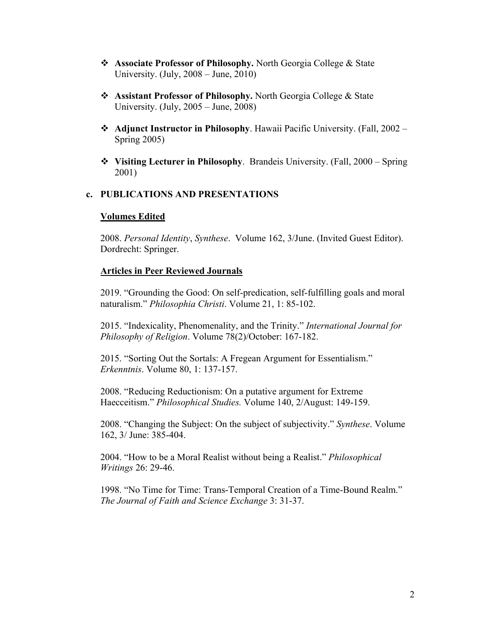- v **Associate Professor of Philosophy.** North Georgia College & State University. (July, 2008 – June, 2010)
- v **Assistant Professor of Philosophy.** North Georgia College & State University. (July, 2005 – June, 2008)
- **◆ Adjunct Instructor in Philosophy.** Hawaii Pacific University. (Fall, 2002 Spring 2005)
- v **Visiting Lecturer in Philosophy**. Brandeis University. (Fall, 2000 Spring 2001)

### **c. PUBLICATIONS AND PRESENTATIONS**

### **Volumes Edited**

2008. *Personal Identity*, *Synthese*. Volume 162, 3/June. (Invited Guest Editor). Dordrecht: Springer.

#### **Articles in Peer Reviewed Journals**

2019. "Grounding the Good: On self-predication, self-fulfilling goals and moral naturalism." *Philosophia Christi*. Volume 21, 1: 85-102.

2015. "Indexicality, Phenomenality, and the Trinity." *International Journal for Philosophy of Religion*. Volume 78(2)/October: 167-182.

2015. "Sorting Out the Sortals: A Fregean Argument for Essentialism." *Erkenntnis*. Volume 80, 1: 137-157.

2008. "Reducing Reductionism: On a putative argument for Extreme Haecceitism." *Philosophical Studies.* Volume 140, 2/August: 149-159.

2008. "Changing the Subject: On the subject of subjectivity." *Synthese*. Volume 162, 3/ June: 385-404.

2004. "How to be a Moral Realist without being a Realist." *Philosophical Writings* 26: 29-46.

1998. "No Time for Time: Trans-Temporal Creation of a Time-Bound Realm." *The Journal of Faith and Science Exchange* 3: 31-37.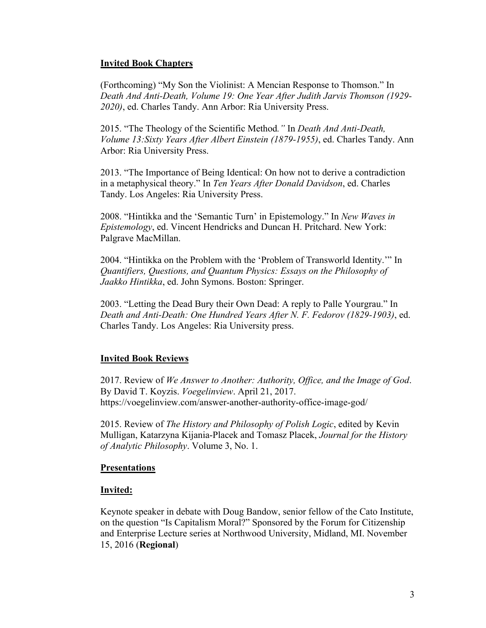### **Invited Book Chapters**

(Forthcoming) "My Son the Violinist: A Mencian Response to Thomson." In *Death And Anti-Death, Volume 19: One Year After Judith Jarvis Thomson (1929- 2020)*, ed. Charles Tandy. Ann Arbor: Ria University Press.

2015. "The Theology of the Scientific Method*."* In *Death And Anti-Death, Volume 13:Sixty Years After Albert Einstein (1879-1955)*, ed. Charles Tandy. Ann Arbor: Ria University Press.

2013. "The Importance of Being Identical: On how not to derive a contradiction in a metaphysical theory." In *Ten Years After Donald Davidson*, ed. Charles Tandy. Los Angeles: Ria University Press.

2008. "Hintikka and the 'Semantic Turn' in Epistemology." In *New Waves in Epistemology*, ed. Vincent Hendricks and Duncan H. Pritchard. New York: Palgrave MacMillan.

2004. "Hintikka on the Problem with the 'Problem of Transworld Identity.'" In *Quantifiers, Questions, and Quantum Physics: Essays on the Philosophy of Jaakko Hintikka*, ed. John Symons. Boston: Springer.

2003. "Letting the Dead Bury their Own Dead: A reply to Palle Yourgrau." In *Death and Anti-Death: One Hundred Years After N. F. Fedorov (1829-1903)*, ed. Charles Tandy. Los Angeles: Ria University press.

## **Invited Book Reviews**

2017. Review of *We Answer to Another: Authority, Office, and the Image of God*. By David T. Koyzis. *Voegelinview*. April 21, 2017. https://voegelinview.com/answer-another-authority-office-image-god/

2015. Review of *The History and Philosophy of Polish Logic*, edited by Kevin Mulligan, Katarzyna Kijania-Placek and Tomasz Placek, *Journal for the History of Analytic Philosophy*. Volume 3, No. 1.

### **Presentations**

### **Invited:**

Keynote speaker in debate with Doug Bandow, senior fellow of the Cato Institute, on the question "Is Capitalism Moral?" Sponsored by the Forum for Citizenship and Enterprise Lecture series at Northwood University, Midland, MI. November 15, 2016 (**Regional**)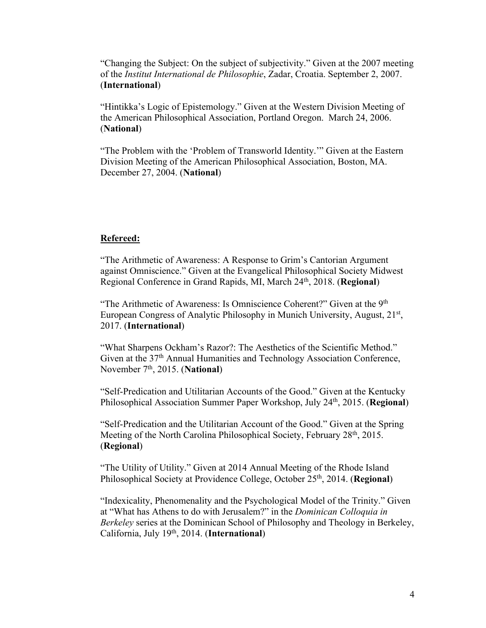"Changing the Subject: On the subject of subjectivity." Given at the 2007 meeting of the *Institut International de Philosophie*, Zadar, Croatia. September 2, 2007. (**International**)

"Hintikka's Logic of Epistemology." Given at the Western Division Meeting of the American Philosophical Association, Portland Oregon. March 24, 2006. (**National**)

"The Problem with the 'Problem of Transworld Identity.'" Given at the Eastern Division Meeting of the American Philosophical Association, Boston, MA. December 27, 2004. (**National**)

### **Refereed:**

"The Arithmetic of Awareness: A Response to Grim's Cantorian Argument against Omniscience." Given at the Evangelical Philosophical Society Midwest Regional Conference in Grand Rapids, MI, March 24th, 2018. (**Regional**)

"The Arithmetic of Awareness: Is Omniscience Coherent?" Given at the 9<sup>th</sup> European Congress of Analytic Philosophy in Munich University, August, 21<sup>st</sup>, 2017. (**International**)

"What Sharpens Ockham's Razor?: The Aesthetics of the Scientific Method." Given at the 37<sup>th</sup> Annual Humanities and Technology Association Conference, November 7<sup>th</sup>, 2015. (**National**)

"Self-Predication and Utilitarian Accounts of the Good." Given at the Kentucky Philosophical Association Summer Paper Workshop, July 24th, 2015. (**Regional**)

"Self-Predication and the Utilitarian Account of the Good." Given at the Spring Meeting of the North Carolina Philosophical Society, February 28<sup>th</sup>, 2015. (**Regional**)

"The Utility of Utility." Given at 2014 Annual Meeting of the Rhode Island Philosophical Society at Providence College, October 25th, 2014. (**Regional**)

"Indexicality, Phenomenality and the Psychological Model of the Trinity." Given at "What has Athens to do with Jerusalem?" in the *Dominican Colloquia in Berkeley* series at the Dominican School of Philosophy and Theology in Berkeley, California, July 19th, 2014. (**International**)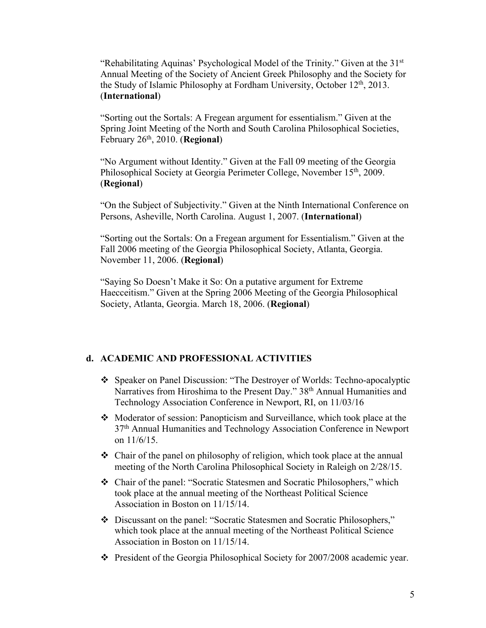"Rehabilitating Aquinas' Psychological Model of the Trinity." Given at the  $31<sup>st</sup>$ Annual Meeting of the Society of Ancient Greek Philosophy and the Society for the Study of Islamic Philosophy at Fordham University, October 12<sup>th</sup>, 2013. (**International**)

"Sorting out the Sortals: A Fregean argument for essentialism." Given at the Spring Joint Meeting of the North and South Carolina Philosophical Societies, February 26th, 2010. (**Regional**)

"No Argument without Identity." Given at the Fall 09 meeting of the Georgia Philosophical Society at Georgia Perimeter College, November 15<sup>th</sup>, 2009. (**Regional**)

"On the Subject of Subjectivity." Given at the Ninth International Conference on Persons, Asheville, North Carolina. August 1, 2007. (**International**)

"Sorting out the Sortals: On a Fregean argument for Essentialism." Given at the Fall 2006 meeting of the Georgia Philosophical Society, Atlanta, Georgia. November 11, 2006. (**Regional**)

"Saying So Doesn't Make it So: On a putative argument for Extreme Haecceitism." Given at the Spring 2006 Meeting of the Georgia Philosophical Society, Atlanta, Georgia. March 18, 2006. (**Regional**)

### **d. ACADEMIC AND PROFESSIONAL ACTIVITIES**

- v Speaker on Panel Discussion: "The Destroyer of Worlds: Techno-apocalyptic Narratives from Hiroshima to the Present Day." 38<sup>th</sup> Annual Humanities and Technology Association Conference in Newport, RI, on 11/03/16
- $\triangle$  Moderator of session: Panopticism and Surveillance, which took place at the 37th Annual Humanities and Technology Association Conference in Newport on 11/6/15.
- $\triangle$  Chair of the panel on philosophy of religion, which took place at the annual meeting of the North Carolina Philosophical Society in Raleigh on 2/28/15.
- Chair of the panel: "Socratic Statesmen and Socratic Philosophers," which took place at the annual meeting of the Northeast Political Science Association in Boston on 11/15/14.
- v Discussant on the panel: "Socratic Statesmen and Socratic Philosophers," which took place at the annual meeting of the Northeast Political Science Association in Boston on 11/15/14.
- $\cdot \cdot$  President of the Georgia Philosophical Society for 2007/2008 academic year.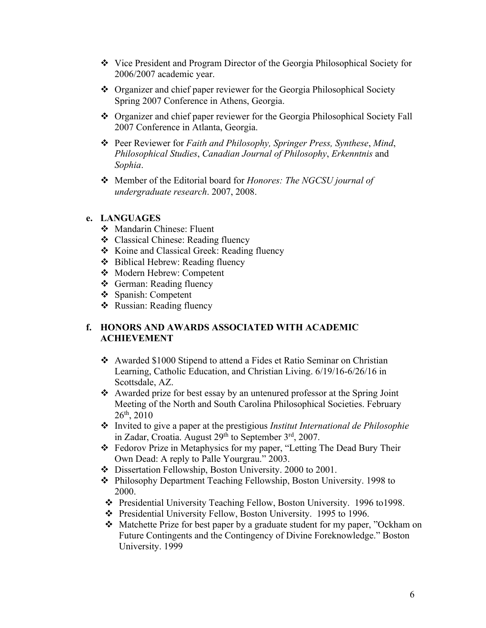- Vice President and Program Director of the Georgia Philosophical Society for 2006/2007 academic year.
- Organizer and chief paper reviewer for the Georgia Philosophical Society Spring 2007 Conference in Athens, Georgia.
- \* Organizer and chief paper reviewer for the Georgia Philosophical Society Fall 2007 Conference in Atlanta, Georgia.
- v Peer Reviewer for *Faith and Philosophy, Springer Press, Synthese*, *Mind*, *Philosophical Studies*, *Canadian Journal of Philosophy*, *Erkenntnis* and *Sophia*.
- v Member of the Editorial board for *Honores: The NGCSU journal of undergraduate research*. 2007, 2008.

### **e. LANGUAGES**

- v Mandarin Chinese: Fluent
- v Classical Chinese: Reading fluency
- \* Koine and Classical Greek: Reading fluency
- **❖** Biblical Hebrew: Reading fluency
- v Modern Hebrew: Competent
- v German: Reading fluency
- v Spanish: Competent
- v Russian: Reading fluency

## **f. HONORS AND AWARDS ASSOCIATED WITH ACADEMIC ACHIEVEMENT**

- v Awarded \$1000 Stipend to attend a Fides et Ratio Seminar on Christian Learning, Catholic Education, and Christian Living. 6/19/16-6/26/16 in Scottsdale, AZ.
- \* Awarded prize for best essay by an untenured professor at the Spring Joint Meeting of the North and South Carolina Philosophical Societies. February 26th, 2010
- v Invited to give a paper at the prestigious *Institut International de Philosophie* in Zadar, Croatia. August  $29<sup>th</sup>$  to September  $3<sup>rd</sup>$ , 2007.
- v Fedorov Prize in Metaphysics for my paper, "Letting The Dead Bury Their Own Dead: A reply to Palle Yourgrau." 2003.
- \* Dissertation Fellowship, Boston University. 2000 to 2001.
- v Philosophy Department Teaching Fellowship, Boston University. 1998 to 2000.
- \* Presidential University Teaching Fellow, Boston University. 1996 to1998.
- v Presidential University Fellow, Boston University. 1995 to 1996.
- Matchette Prize for best paper by a graduate student for my paper, "Ockham on Future Contingents and the Contingency of Divine Foreknowledge." Boston University. 1999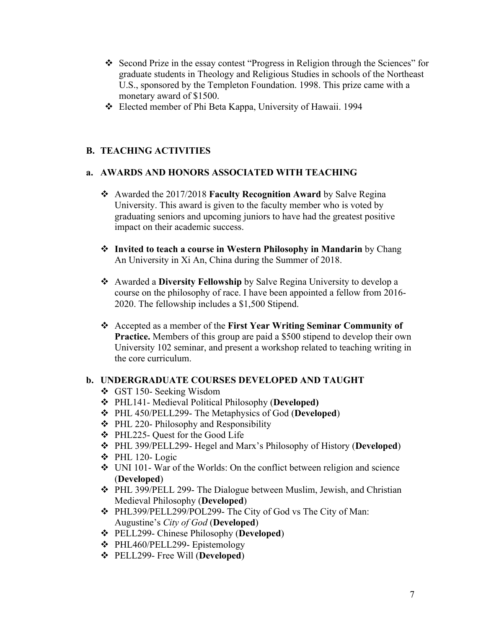- v Second Prize in the essay contest "Progress in Religion through the Sciences" for graduate students in Theology and Religious Studies in schools of the Northeast U.S., sponsored by the Templeton Foundation. 1998. This prize came with a monetary award of \$1500.
- v Elected member of Phi Beta Kappa, University of Hawaii. 1994

# **B. TEACHING ACTIVITIES**

# **a. AWARDS AND HONORS ASSOCIATED WITH TEACHING**

- v Awarded the 2017/2018 **Faculty Recognition Award** by Salve Regina University. This award is given to the faculty member who is voted by graduating seniors and upcoming juniors to have had the greatest positive impact on their academic success.
- **❖** Invited to teach a course in Western Philosophy in Mandarin by Chang An University in Xi An, China during the Summer of 2018.
- v Awarded a **Diversity Fellowship** by Salve Regina University to develop a course on the philosophy of race. I have been appointed a fellow from 2016- 2020. The fellowship includes a \$1,500 Stipend.
- v Accepted as a member of the **First Year Writing Seminar Community of Practice.** Members of this group are paid a \$500 stipend to develop their own University 102 seminar, and present a workshop related to teaching writing in the core curriculum.

## **b. UNDERGRADUATE COURSES DEVELOPED AND TAUGHT**

- v GST 150- Seeking Wisdom
- v PHL141- Medieval Political Philosophy (**Developed)**
- v PHL 450/PELL299- The Metaphysics of God (**Developed**)
- $\div$  PHL 220- Philosophy and Responsibility
- v PHL225- Quest for the Good Life
- v PHL 399/PELL299- Hegel and Marx's Philosophy of History (**Developed**)
- $\div$  PHL 120- Logic
- $\div$  UNI 101- War of the Worlds: On the conflict between religion and science (**Developed**)
- v PHL 399/PELL 299- The Dialogue between Muslim, Jewish, and Christian Medieval Philosophy (**Developed**)
- v PHL399/PELL299/POL299- The City of God vs The City of Man: Augustine's *City of God* (**Developed**)
- v PELL299- Chinese Philosophy (**Developed**)
- v PHL460/PELL299- Epistemology
- v PELL299- Free Will (**Developed**)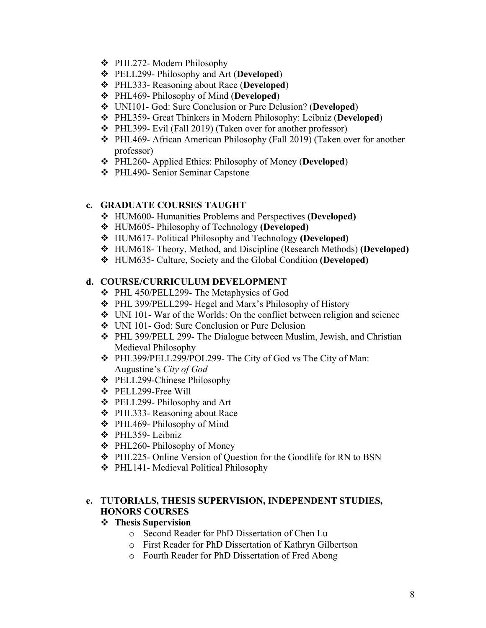- v PHL272- Modern Philosophy
- v PELL299- Philosophy and Art (**Developed**)
- v PHL333- Reasoning about Race (**Developed**)
- v PHL469- Philosophy of Mind (**Developed**)
- v UNI101- God: Sure Conclusion or Pure Delusion? (**Developed**)
- v PHL359- Great Thinkers in Modern Philosophy: Leibniz (**Developed**)
- v PHL399- Evil (Fall 2019) (Taken over for another professor)
- v PHL469- African American Philosophy (Fall 2019) (Taken over for another professor)
- v PHL260- Applied Ethics: Philosophy of Money (**Developed**)
- v PHL490- Senior Seminar Capstone

### **c. GRADUATE COURSES TAUGHT**

- v HUM600- Humanities Problems and Perspectives **(Developed)**
- v HUM605- Philosophy of Technology **(Developed)**
- v HUM617- Political Philosophy and Technology **(Developed)**
- v HUM618- Theory, Method, and Discipline (Research Methods) **(Developed)**
- v HUM635- Culture, Society and the Global Condition **(Developed)**

### **d. COURSE/CURRICULUM DEVELOPMENT**

- v PHL 450/PELL299- The Metaphysics of God
- v PHL 399/PELL299- Hegel and Marx's Philosophy of History
- $\div$  UNI 101- War of the Worlds: On the conflict between religion and science
- v UNI 101- God: Sure Conclusion or Pure Delusion
- v PHL 399/PELL 299- The Dialogue between Muslim, Jewish, and Christian Medieval Philosophy
- v PHL399/PELL299/POL299- The City of God vs The City of Man: Augustine's *City of God*
- v PELL299-Chinese Philosophy
- v PELL299-Free Will
- v PELL299- Philosophy and Art
- v PHL333- Reasoning about Race
- v PHL469- Philosophy of Mind
- v PHL359- Leibniz
- $\div$  PHL260- Philosophy of Money
- ◆ PHL225- Online Version of Question for the Goodlife for RN to BSN
- v PHL141- Medieval Political Philosophy

# **e. TUTORIALS, THESIS SUPERVISION, INDEPENDENT STUDIES, HONORS COURSES**

### v **Thesis Supervision**

- o Second Reader for PhD Dissertation of Chen Lu
- o First Reader for PhD Dissertation of Kathryn Gilbertson
- o Fourth Reader for PhD Dissertation of Fred Abong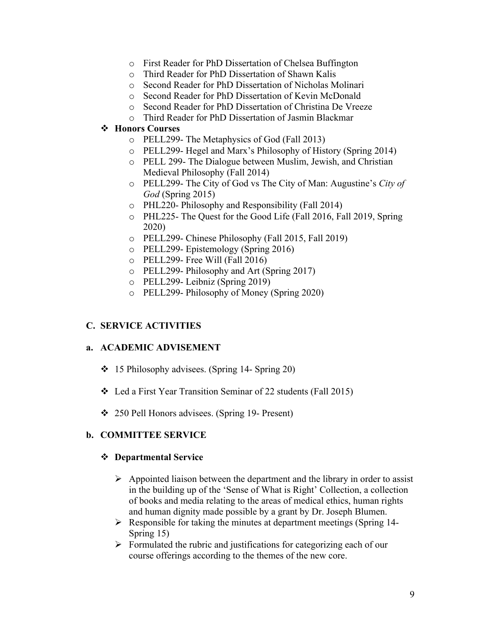- o First Reader for PhD Dissertation of Chelsea Buffington
- o Third Reader for PhD Dissertation of Shawn Kalis
- o Second Reader for PhD Dissertation of Nicholas Molinari
- o Second Reader for PhD Dissertation of Kevin McDonald
- o Second Reader for PhD Dissertation of Christina De Vreeze
- o Third Reader for PhD Dissertation of Jasmin Blackmar

# v **Honors Courses**

- o PELL299- The Metaphysics of God (Fall 2013)
- o PELL299- Hegel and Marx's Philosophy of History (Spring 2014)
- o PELL 299- The Dialogue between Muslim, Jewish, and Christian Medieval Philosophy (Fall 2014)
- o PELL299- The City of God vs The City of Man: Augustine's *City of God* (Spring 2015)
- o PHL220- Philosophy and Responsibility (Fall 2014)
- o PHL225- The Quest for the Good Life (Fall 2016, Fall 2019, Spring 2020)
- o PELL299- Chinese Philosophy (Fall 2015, Fall 2019)
- o PELL299- Epistemology (Spring 2016)
- o PELL299- Free Will (Fall 2016)
- o PELL299- Philosophy and Art (Spring 2017)
- o PELL299- Leibniz (Spring 2019)
- o PELL299- Philosophy of Money (Spring 2020)

# **C. SERVICE ACTIVITIES**

## **a. ACADEMIC ADVISEMENT**

- $\div$  15 Philosophy advisees. (Spring 14- Spring 20)
- v Led a First Year Transition Seminar of 22 students (Fall 2015)
- v 250 Pell Honors advisees. (Spring 19- Present)

## **b. COMMITTEE SERVICE**

### v **Departmental Service**

- $\triangleright$  Appointed liaison between the department and the library in order to assist in the building up of the 'Sense of What is Right' Collection, a collection of books and media relating to the areas of medical ethics, human rights and human dignity made possible by a grant by Dr. Joseph Blumen.
- $\triangleright$  Responsible for taking the minutes at department meetings (Spring 14-Spring 15)
- $\triangleright$  Formulated the rubric and justifications for categorizing each of our course offerings according to the themes of the new core.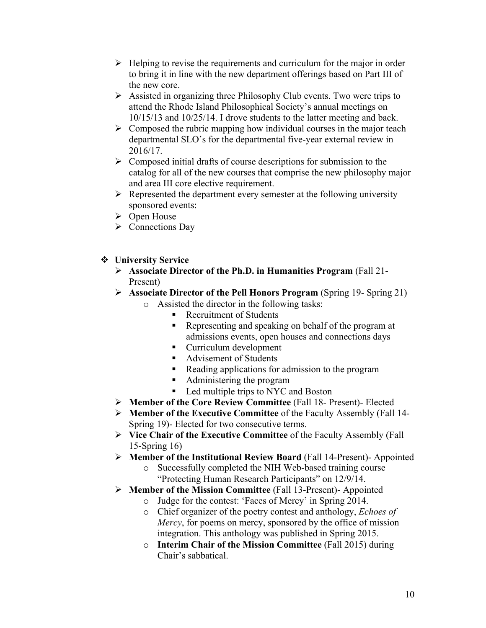- $\triangleright$  Helping to revise the requirements and curriculum for the major in order to bring it in line with the new department offerings based on Part III of the new core.
- $\triangleright$  Assisted in organizing three Philosophy Club events. Two were trips to attend the Rhode Island Philosophical Society's annual meetings on 10/15/13 and 10/25/14. I drove students to the latter meeting and back.
- $\triangleright$  Composed the rubric mapping how individual courses in the major teach departmental SLO's for the departmental five-year external review in 2016/17.
- $\triangleright$  Composed initial drafts of course descriptions for submission to the catalog for all of the new courses that comprise the new philosophy major and area III core elective requirement.
- $\triangleright$  Represented the department every semester at the following university sponsored events:
- $\triangleright$  Open House
- $\triangleright$  Connections Day
- **❖** University Service
	- Ø **Associate Director of the Ph.D. in Humanities Program** (Fall 21- Present)
	- Ø **Associate Director of the Pell Honors Program** (Spring 19- Spring 21)
		- o Assisted the director in the following tasks:
			- Recruitment of Students
			- § Representing and speaking on behalf of the program at admissions events, open houses and connections days
			- Curriculum development
			- Advisement of Students
			- Reading applications for admission to the program
			- Administering the program
			- Led multiple trips to NYC and Boston
	- Ø **Member of the Core Review Committee** (Fall 18- Present)- Elected
	- Ø **Member of the Executive Committee** of the Faculty Assembly (Fall 14- Spring 19)- Elected for two consecutive terms.
	- Ø **Vice Chair of the Executive Committee** of the Faculty Assembly (Fall 15-Spring 16)
	- Ø **Member of the Institutional Review Board** (Fall 14-Present)- Appointed
		- o Successfully completed the NIH Web-based training course "Protecting Human Research Participants" on 12/9/14.
	- Ø **Member of the Mission Committee** (Fall 13-Present)- Appointed
		- o Judge for the contest: 'Faces of Mercy' in Spring 2014.
		- o Chief organizer of the poetry contest and anthology, *Echoes of Mercy*, for poems on mercy, sponsored by the office of mission integration. This anthology was published in Spring 2015.
		- o **Interim Chair of the Mission Committee** (Fall 2015) during Chair's sabbatical.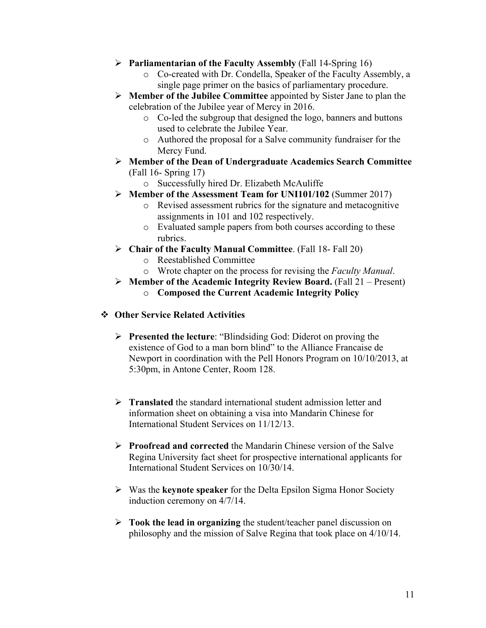- Ø **Parliamentarian of the Faculty Assembly** (Fall 14-Spring 16)
	- o Co-created with Dr. Condella, Speaker of the Faculty Assembly, a single page primer on the basics of parliamentary procedure.
- Ø **Member of the Jubilee Committee** appointed by Sister Jane to plan the celebration of the Jubilee year of Mercy in 2016.
	- o Co-led the subgroup that designed the logo, banners and buttons used to celebrate the Jubilee Year.
	- o Authored the proposal for a Salve community fundraiser for the Mercy Fund.
- Ø **Member of the Dean of Undergraduate Academics Search Committee** (Fall 16- Spring 17)
	- o Successfully hired Dr. Elizabeth McAuliffe
- Ø **Member of the Assessment Team for UNI101/102** (Summer 2017)
	- o Revised assessment rubrics for the signature and metacognitive assignments in 101 and 102 respectively.
	- o Evaluated sample papers from both courses according to these rubrics.
- Ø **Chair of the Faculty Manual Committee**. (Fall 18- Fall 20)
	- o Reestablished Committee
	- o Wrote chapter on the process for revising the *Faculty Manual*.
- Ø **Member of the Academic Integrity Review Board.** (Fall 21 Present)
	- o **Composed the Current Academic Integrity Policy**
- v **Other Service Related Activities**
	- Ø **Presented the lecture**: "Blindsiding God: Diderot on proving the existence of God to a man born blind" to the Alliance Francaise de Newport in coordination with the Pell Honors Program on 10/10/2013, at 5:30pm, in Antone Center, Room 128.
	- Ø **Translated** the standard international student admission letter and information sheet on obtaining a visa into Mandarin Chinese for International Student Services on 11/12/13.
	- Ø **Proofread and corrected** the Mandarin Chinese version of the Salve Regina University fact sheet for prospective international applicants for International Student Services on 10/30/14.
	- Ø Was the **keynote speaker** for the Delta Epsilon Sigma Honor Society induction ceremony on 4/7/14.
	- Ø **Took the lead in organizing** the student/teacher panel discussion on philosophy and the mission of Salve Regina that took place on 4/10/14.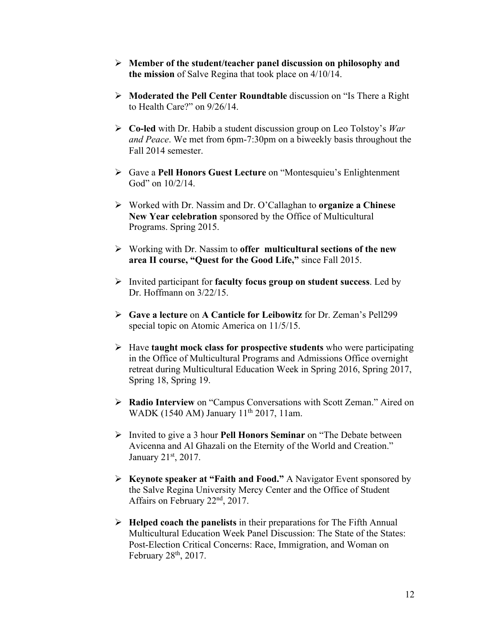- Ø **Member of the student/teacher panel discussion on philosophy and the mission** of Salve Regina that took place on 4/10/14.
- Ø **Moderated the Pell Center Roundtable** discussion on "Is There a Right to Health Care?" on 9/26/14.
- Ø **Co-led** with Dr. Habib a student discussion group on Leo Tolstoy's *War and Peace*. We met from 6pm-7:30pm on a biweekly basis throughout the Fall 2014 semester.
- Ø Gave a **Pell Honors Guest Lecture** on "Montesquieu's Enlightenment God" on  $10/2/14$ .
- Ø Worked with Dr. Nassim and Dr. O'Callaghan to **organize a Chinese New Year celebration** sponsored by the Office of Multicultural Programs. Spring 2015.
- Ø Working with Dr. Nassim to **offer multicultural sections of the new area II course, "Quest for the Good Life,"** since Fall 2015.
- Ø Invited participant for **faculty focus group on student success**. Led by Dr. Hoffmann on 3/22/15.
- Ø **Gave a lecture** on **A Canticle for Leibowitz** for Dr. Zeman's Pell299 special topic on Atomic America on 11/5/15.
- Ø Have **taught mock class for prospective students** who were participating in the Office of Multicultural Programs and Admissions Office overnight retreat during Multicultural Education Week in Spring 2016, Spring 2017, Spring 18, Spring 19.
- Ø **Radio Interview** on "Campus Conversations with Scott Zeman." Aired on WADK (1540 AM) January 11<sup>th</sup> 2017, 11am.
- Ø Invited to give a 3 hour **Pell Honors Seminar** on "The Debate between Avicenna and Al Ghazali on the Eternity of the World and Creation." January 21st, 2017.
- Ø **Keynote speaker at "Faith and Food."** A Navigator Event sponsored by the Salve Regina University Mercy Center and the Office of Student Affairs on February 22nd, 2017.
- Ø **Helped coach the panelists** in their preparations for The Fifth Annual Multicultural Education Week Panel Discussion: The State of the States: Post-Election Critical Concerns: Race, Immigration, and Woman on February 28th, 2017.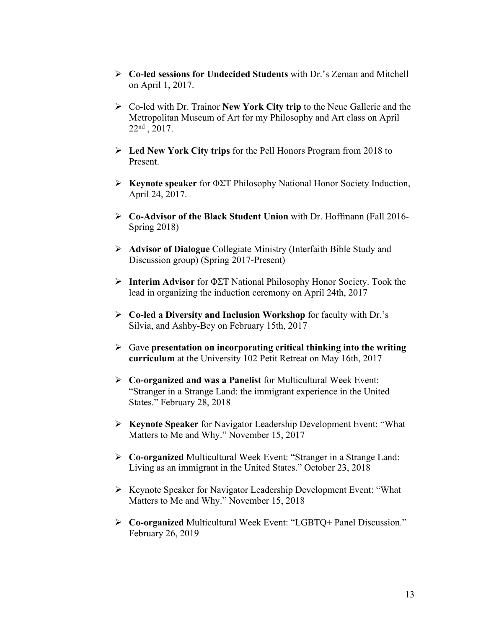- Ø **Co-led sessions for Undecided Students** with Dr.'s Zeman and Mitchell on April 1, 2017.
- Ø Co-led with Dr. Trainor **New York City trip** to the Neue Gallerie and the Metropolitan Museum of Art for my Philosophy and Art class on April 22nd , 2017.
- Ø **Led New York City trips** for the Pell Honors Program from 2018 to Present.
- Ø **Keynote speaker** for ΦΣΤ Philosophy National Honor Society Induction, April 24, 2017.
- Ø **Co-Advisor of the Black Student Union** with Dr. Hoffmann (Fall 2016- Spring 2018)
- Ø **Advisor of Dialogue** Collegiate Ministry (Interfaith Bible Study and Discussion group) (Spring 2017-Present)
- Ø **Interim Advisor** for ΦΣΤ National Philosophy Honor Society. Took the lead in organizing the induction ceremony on April 24th, 2017
- Ø **Co-led a Diversity and Inclusion Workshop** for faculty with Dr.'s Silvia, and Ashby-Bey on February 15th, 2017
- Ø Gave **presentation on incorporating critical thinking into the writing curriculum** at the University 102 Petit Retreat on May 16th, 2017
- Ø **Co-organized and was a Panelist** for Multicultural Week Event: "Stranger in a Strange Land: the immigrant experience in the United States." February 28, 2018
- Ø **Keynote Speaker** for Navigator Leadership Development Event: "What Matters to Me and Why." November 15, 2017
- Ø **Co-organized** Multicultural Week Event: "Stranger in a Strange Land: Living as an immigrant in the United States." October 23, 2018
- Ø Keynote Speaker for Navigator Leadership Development Event: "What Matters to Me and Why." November 15, 2018
- Ø **Co-organized** Multicultural Week Event: "LGBTQ+ Panel Discussion." February 26, 2019